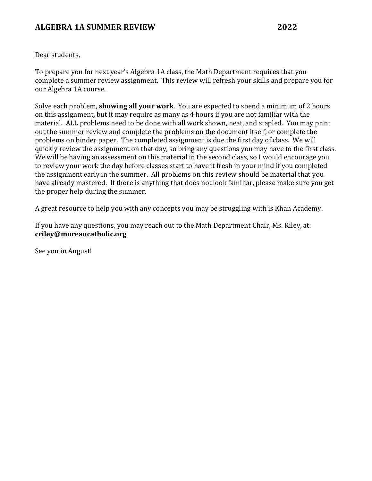# **ALGEBRA 1A SUMMER REVIEW 2022**

Dear students.

To prepare you for next year's Algebra 1A class, the Math Department requires that you complete a summer review assignment. This review will refresh your skills and prepare you for our Algebra 1A course.

Solve each problem, **showing all your work**. You are expected to spend a minimum of 2 hours on this assignment, but it may require as many as 4 hours if you are not familiar with the material. ALL problems need to be done with all work shown, neat, and stapled. You may print out the summer review and complete the problems on the document itself, or complete the problems on binder paper. The completed assignment is due the first day of class. We will quickly review the assignment on that day, so bring any questions you may have to the first class. We will be having an assessment on this material in the second class, so I would encourage you to review your work the day before classes start to have it fresh in your mind if you completed the assignment early in the summer. All problems on this review should be material that you have already mastered. If there is anything that does not look familiar, please make sure you get the proper help during the summer.

A great resource to help you with any concepts you may be struggling with is Khan Academy.

If you have any questions, you may reach out to the Math Department Chair, Ms. Riley, at: **criley@moreaucatholic.org**

See you in August!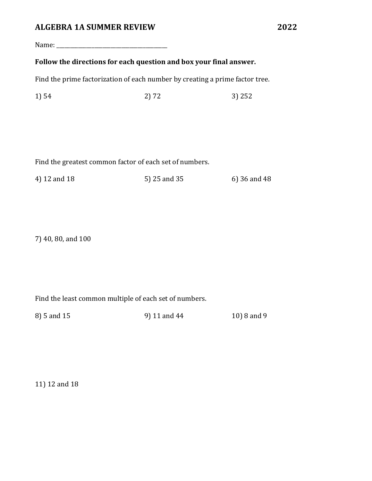#### **ALGEBRA 1A SUMMER REVIEW 2022**

Name: \_\_\_\_\_\_\_\_\_\_\_\_\_\_\_\_\_\_\_\_\_\_\_\_\_\_\_\_\_\_\_\_\_\_\_\_\_\_\_\_\_

#### Follow the directions for each question and box your final answer.

Find the prime factorization of each number by creating a prime factor tree.

 $1) 54$  2) 72 3) 252

Find the greatest common factor of each set of numbers.

4) 12 and 18 6) 25 and 35 6) 36 and 48

7) 40, 80, and 100

Find the least common multiple of each set of numbers.

8) 5 and 15 9) 11 and 44 10) 8 and 9

11) 12 and 18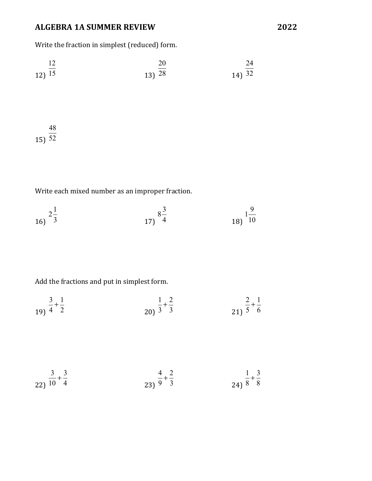# **ALGEBRA 1A SUMMER REVIEW 2022**

Write the fraction in simplest (reduced) form.

$$
\begin{array}{@{}c@{\hspace{1em}}c@{\hspace{1em}}}\n 12 \\
\hline\n 12 \big) \overline{15} \\
\end{array}\n \qquad\n \begin{array}{@{}c@{\hspace{1em}}c@{\hspace{1em}}c@{\hspace{1em}}c@{\hspace{1em}}c@{\hspace{1em}}c@{\hspace{1em}}c@{\hspace{1em}}c@{\hspace{1em}}c@{\hspace{1em}}c@{\hspace{1em}}c@{\hspace{1em}}c@{\hspace{1em}}c@{\hspace{1em}}c@{\hspace{1em}}c@{\hspace{1em}}c@{\hspace{1em}}c@{\hspace{1em}}c@{\hspace{1em}}c@{\hspace{1em}}c@{\hspace{1em}}c@{\hspace{1em}}c@{\hspace{1em}}c@{\hspace{1em}}c@{\hspace{1em}}c@{\hspace{1em}}c@{\hspace{1em}}c@{\hspace{1em}}c@{\hspace{1em}}c@{\hspace{1em}}c@{\hspace{1em}}c@{\hspace{1em}}c@{\hspace{1em}}c@{\hspace{1em}}c@{\hspace{1em}}c@{\hspace{1em}}c@{\hspace{1em}}c@{\hspace{1em}}c@{\hspace{1em}}c@{\hspace{1em}}c@{\hspace{1em}}c@{\hspace{1em}}c@{\hspace{1em}}c@{\hspace{1em}}c@{\hspace{1em}}c@{\hspace{1em}}c@{\hspace{1em}}c@{\hspace{1em}}c@{\hspace{1em}}c@{\hspace{1em}}c@{\hspace{1em}}c@{\hspace{1em}}c@{\hspace{1em}}c@{\hspace{1em}}c@{\hspace{1em}}c@{\hspace{1em}}c@{\hspace{1em}}c@{\hspace{1em}}c@{\hspace{1em}}c@{\hspace{1em}}c@{\hspace{1em}}c@{\hspace{1em}}c@{\hspace{1em}}c@{\hspace{1em}}c@{\hspace{1em}}c@{\hspace{1em}}c@{\hspace{1em}}c@{\hspace{1em}}c@{\hspace{1em}}c@{\hspace{1em}}c@{\hspace{1em}}c@{\hspace{1em}}c@{\hspace{1em}}c@{\hspace{1em}}c@{\hspace{1em}}c@{\hspace{1em}}c@{\hspace{1em}}c@{\hspace{1em}}c
$$

15) 52 

Write each mixed number as an improper fraction.

$$
\begin{array}{ccc}\n & 2\frac{1}{3} & & 8\frac{3}{4} & & & 18 \\
& & 17 & & 4\n\end{array}
$$

Add the fractions and put in simplest form.

$$
\frac{3}{4} + \frac{1}{2}
$$
\n
$$
\frac{1}{3} + \frac{2}{3}
$$
\n
$$
\frac{2}{5} + \frac{1}{6}
$$
\n
$$
\frac{2}{5} + \frac{1}{6}
$$

$$
\frac{3}{22} + \frac{3}{10} + \frac{3}{4}
$$
\n
$$
\frac{4}{23} + \frac{2}{3}
$$
\n
$$
\frac{4}{9} + \frac{2}{3}
$$
\n
$$
\frac{1}{8} + \frac{3}{8}
$$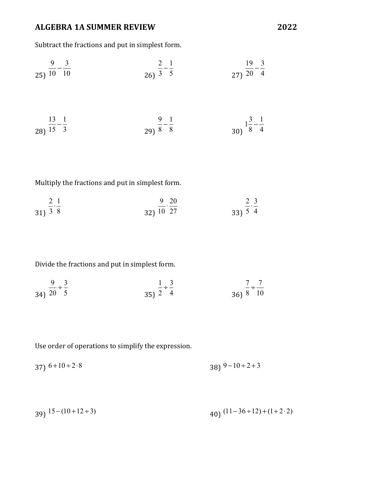# **ALGEBRA 1A SUMMER REVIEW 2022**

Subtract the fractions and put in simplest form.

$$
\frac{9}{25} - \frac{3}{10} \qquad \qquad \frac{2}{3} - \frac{1}{5} \qquad \qquad \frac{19}{27} - \frac{3}{20} - \frac{1}{4}
$$
  
28)  $\frac{13}{15} - \frac{1}{3} \qquad \qquad \frac{9}{29} - \frac{1}{8} \qquad \qquad \frac{9}{8} - \frac{1}{8} \qquad \qquad \frac{13}{30} - \frac{1}{8} - \frac{1}{4}$ 

Multiply the fractions and put in simplest form.

$$
\frac{2}{31} \cdot \frac{1}{3 \cdot 8} \qquad \frac{9}{10} \cdot \frac{20}{27} \qquad \frac{2}{33} \cdot \frac{3}{5} \cdot \frac{2}{4}
$$

Divide the fractions and put in simplest form.

$$
\frac{9}{34} \div \frac{3}{5}
$$
\n
$$
\frac{1}{25} \div \frac{3}{4}
$$
\n
$$
\frac{7}{8} \div \frac{7}{10}
$$

Use order of operations to simplify the expression.

$$
37) 6 + 10 \div 2 \cdot 8
$$

$$
39) \frac{15 - (10 + 12 \div 3)}{40} \frac{(11 - 36 \div 12) + (1 + 2 \cdot 2)}{40}
$$